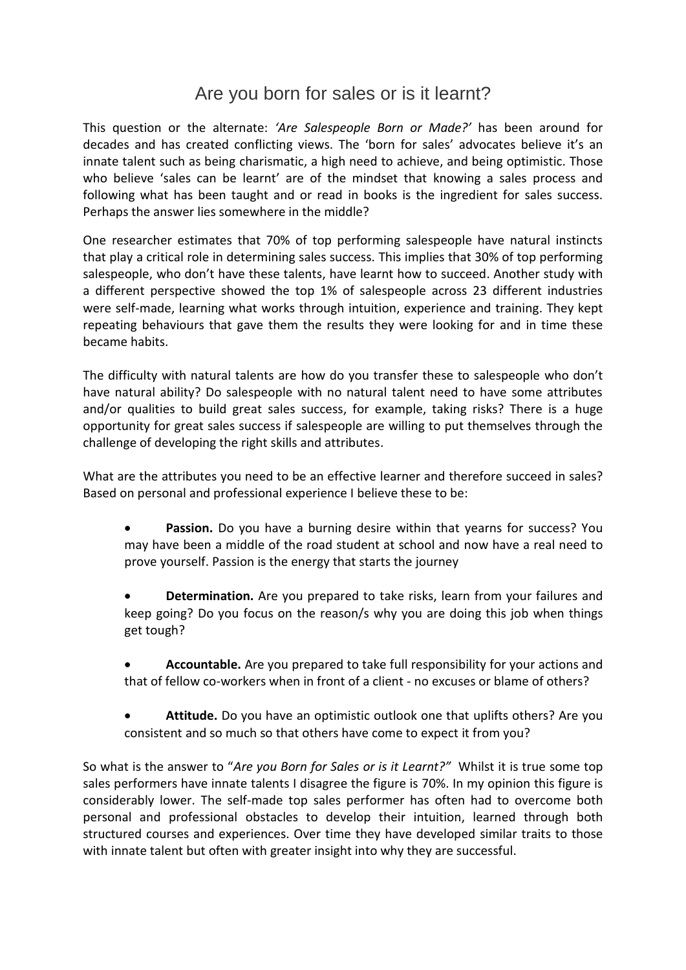## Are you born for sales or is it learnt?

This question or the alternate: *'Are Salespeople Born or Made?'* has been around for decades and has created conflicting views. The 'born for sales' advocates believe it's an innate talent such as being charismatic, a high need to achieve, and being optimistic. Those who believe 'sales can be learnt' are of the mindset that knowing a sales process and following what has been taught and or read in books is the ingredient for sales success. Perhaps the answer lies somewhere in the middle?

One researcher estimates that 70% of top performing salespeople have natural instincts that play a critical role in determining sales success. This implies that 30% of top performing salespeople, who don't have these talents, have learnt how to succeed. Another study with a different perspective showed the top 1% of salespeople across 23 different industries were self-made, learning what works through intuition, experience and training. They kept repeating behaviours that gave them the results they were looking for and in time these became habits.

The difficulty with natural talents are how do you transfer these to salespeople who don't have natural ability? Do salespeople with no natural talent need to have some attributes and/or qualities to build great sales success, for example, taking risks? There is a huge opportunity for great sales success if salespeople are willing to put themselves through the challenge of developing the right skills and attributes.

What are the attributes you need to be an effective learner and therefore succeed in sales? Based on personal and professional experience I believe these to be:

- **•** Passion. Do you have a burning desire within that yearns for success? You may have been a middle of the road student at school and now have a real need to prove yourself. Passion is the energy that starts the journey
- **Determination.** Are you prepared to take risks, learn from your failures and keep going? Do you focus on the reason/s why you are doing this job when things get tough?
- **Accountable.** Are you prepared to take full responsibility for your actions and that of fellow co-workers when in front of a client - no excuses or blame of others?
- **Attitude.** Do you have an optimistic outlook one that uplifts others? Are you consistent and so much so that others have come to expect it from you?

So what is the answer to "*Are you Born for Sales or is it Learnt?"* Whilst it is true some top sales performers have innate talents I disagree the figure is 70%. In my opinion this figure is considerably lower. The self-made top sales performer has often had to overcome both personal and professional obstacles to develop their intuition, learned through both structured courses and experiences. Over time they have developed similar traits to those with innate talent but often with greater insight into why they are successful.